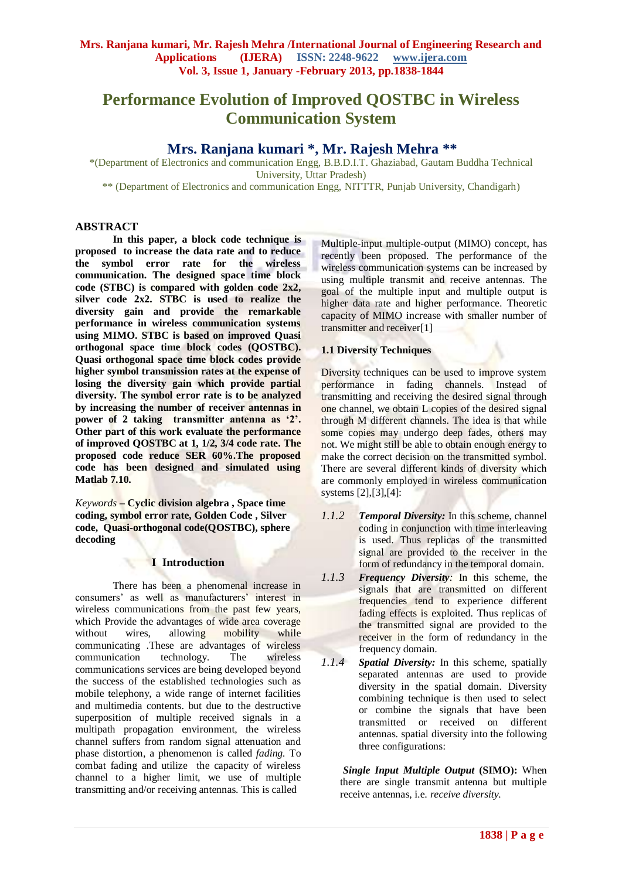# **Performance Evolution of Improved QOSTBC in Wireless Communication System**

# **Mrs. Ranjana kumari \*, Mr. Rajesh Mehra \*\***

\*(Department of Electronics and communication Engg, B.B.D.I.T. Ghaziabad, Gautam Buddha Technical University, Uttar Pradesh)

\*\* (Department of Electronics and communication Engg, NITTTR, Punjab University, Chandigarh)

## **ABSTRACT**

**In this paper, a block code technique is proposed to increase the data rate and to reduce the symbol error rate for the wireless communication. The designed space time block code (STBC) is compared with golden code 2x2, silver code 2x2. STBC is used to realize the diversity gain and provide the remarkable performance in wireless communication systems using MIMO. STBC is based on improved Quasi orthogonal space time block codes (QOSTBC). Quasi orthogonal space time block codes provide higher symbol transmission rates at the expense of losing the diversity gain which provide partial diversity. The symbol error rate is to be analyzed by increasing the number of receiver antennas in power of 2 taking transmitter antenna as '2'. Other part of this work evaluate the performance of improved QOSTBC at 1, 1/2, 3/4 code rate. The proposed code reduce SER 60%.The proposed code has been designed and simulated using Matlab 7.10.**

*Keywords* **– Cyclic division algebra , Space time coding, symbol error rate, Golden Code , Silver code, Quasi-orthogonal code(QOSTBC), sphere decoding**

## **I Introduction**

There has been a phenomenal increase in consumers' as well as manufacturers' interest in wireless communications from the past few years, which Provide the advantages of wide area coverage without wires, allowing mobility while communicating .These are advantages of wireless communication technology. The wireless communications services are being developed beyond the success of the established technologies such as mobile telephony, a wide range of internet facilities and multimedia contents. but due to the destructive superposition of multiple received signals in a multipath propagation environment, the wireless channel suffers from random signal attenuation and phase distortion, a phenomenon is called *fading.* To combat fading and utilize the capacity of wireless channel to a higher limit, we use of multiple transmitting and/or receiving antennas. This is called

Multiple-input multiple-output (MIMO) concept, has recently been proposed. The performance of the wireless communication systems can be increased by using multiple transmit and receive antennas. The goal of the multiple input and multiple output is higher data rate and higher performance. Theoretic capacity of MIMO increase with smaller number of transmitter and receiver[1]

#### **1.1 Diversity Techniques**

Diversity techniques can be used to improve system performance in fading channels. Instead of transmitting and receiving the desired signal through one channel, we obtain L copies of the desired signal through M different channels. The idea is that while some copies may undergo deep fades, others may not. We might still be able to obtain enough energy to make the correct decision on the transmitted symbol. There are several different kinds of diversity which are commonly employed in wireless communication systems [2],[3],[4]:

- *1.1.2 Temporal Diversity:* In this scheme, channel coding in conjunction with time interleaving is used. Thus replicas of the transmitted signal are provided to the receiver in the form of redundancy in the temporal domain.
- *1.1.3 Frequency Diversity:* In this scheme, the signals that are transmitted on different frequencies tend to experience different fading effects is exploited. Thus replicas of the transmitted signal are provided to the receiver in the form of redundancy in the frequency domain.
- *1.1.4 Spatial Diversity:* In this scheme, spatially separated antennas are used to provide diversity in the spatial domain. Diversity combining technique is then used to select or combine the signals that have been transmitted or received on different antennas. spatial diversity into the following three configurations:

*Single Input Multiple Output* **(SIMO):** When there are single transmit antenna but multiple receive antennas, i.e. *receive diversity.*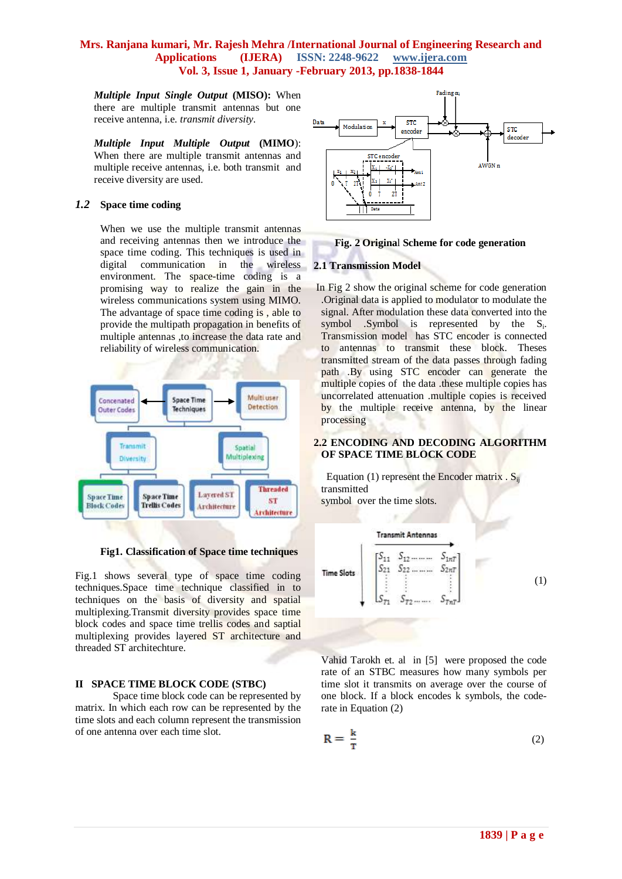*Multiple Input Single Output* **(MISO):** When there are multiple transmit antennas but one receive antenna, i.e. *transmit diversity.*

*Multiple Input Multiple Output* **(MIMO**): When there are multiple transmit antennas and multiple receive antennas, i.e. both transmit and receive diversity are used.

#### *1.2* **Space time coding**

When we use the multiple transmit antennas and receiving antennas then we introduce the space time coding. This techniques is used in digital communication in the wireless environment. The space-time coding is a promising way to realize the gain in the wireless communications system using MIMO. The advantage of space time coding is , able to provide the multipath propagation in benefits of multiple antennas ,to increase the data rate and reliability of wireless communication.



**Fig1. Classification of Space time techniques** 

Fig.1 shows several type of space time coding techniques.Space time technique classified in to techniques on the basis of diversity and spatial multiplexing.Transmit diversity provides space time block codes and space time trellis codes and saptial multiplexing provides layered ST architecture and threaded ST architechture.

#### **II SPACE TIME BLOCK CODE (STBC)**

Space time block code can be represented by matrix. In which each row can be represented by the time slots and each column represent the transmission of one antenna over each time slot.



## **Fig. 2 Origina**l **Scheme for code generation**

#### **2.1 Transmission Model**

In Fig 2 show the original scheme for code generation .Original data is applied to modulator to modulate the signal. After modulation these data converted into the symbol .Symbol is represented by the  $S_i$ . Transmission model has STC encoder is connected to antennas to transmit these block. Theses transmitted stream of the data passes through fading path .By using STC encoder can generate the multiple copies of the data, these multiple copies has uncorrelated attenuation .multiple copies is received by the multiple receive antenna, by the linear processing

#### **2.2 ENCODING AND DECODING ALGORITHM OF SPACE TIME BLOCK CODE**

Equation (1) represent the Encoder matrix  $S_{ii}$ transmitted symbol over the time slots.



Vahid Tarokh et. al in [5] were proposed the code rate of an STBC measures how many symbols per time slot it transmits on average over the course of one block. If a block encodes k symbols, the coderate in Equation (2)

$$
R = \frac{k}{T}
$$
 (2)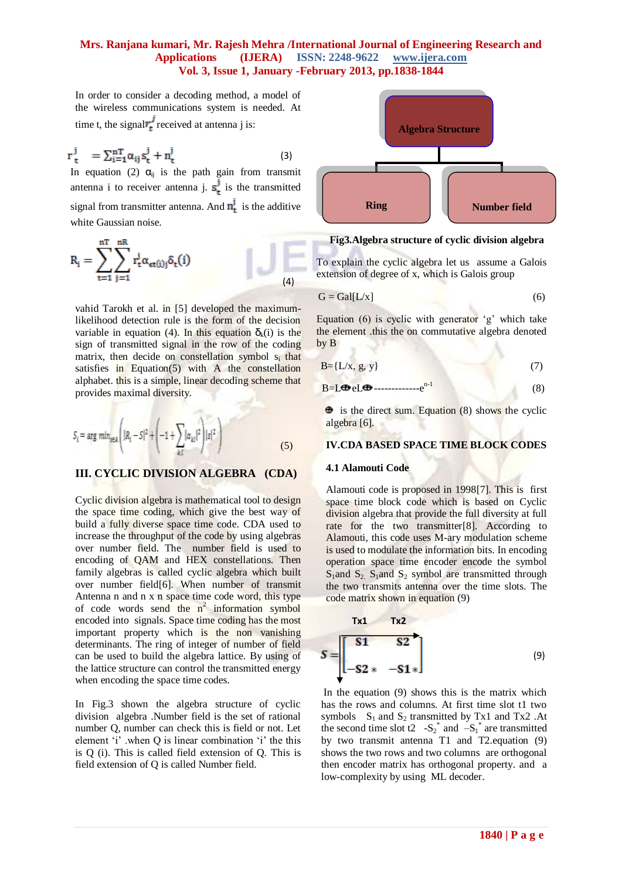In order to consider a decoding method, a model of the wireless communications system is needed. At time t, the signal  $r_t^j$  received at antenna j is:

$$
r_t^j = \sum_{i=1}^{nT} \alpha_{ij} s_t^j + n_t^j
$$
 (3)

In equation (2)  $\alpha_{ij}$  is the path gain from transmit antenna i to receiver antenna j.  $s_t^j$  is the transmitted signal from transmitter antenna. And  $\mathbf{n}_t^j$  is the additive white Gaussian noise.

$$
R_i = \sum_{t=1}^{nT} \sum_{j=1}^{nR} r_t^j \alpha_{et(j)j} \delta_t(i)
$$
(4)

vahid Tarokh et al. in [5] developed the maximumlikelihood detection rule is the form of the decision variable in equation (4). In this equation  $\delta_k(i)$  is the sign of transmitted signal in the row of the coding matrix, then decide on constellation symbol s<sub>i</sub> that satisfies in Equation $(5)$  with A the constellation alphabet. this is a simple, linear decoding scheme that provides maximal diversity.

$$
S_{i} = \arg \min_{s \in A} \left( |R_{i} - S|^{2} + \left( -1 + \sum_{k,l} |\alpha_{kl}|^{2} \right) |s|^{2} \right)
$$
(5)

#### **III. CYCLIC DIVISION ALGEBRA (CDA)**

Cyclic division algebra is mathematical tool to design the space time coding, which give the best way of build a fully diverse space time code. CDA used to increase the throughput of the code by using algebras over number field. The number field is used to encoding of QAM and HEX constellations. Then family algebras is called cyclic algebra which built over number field[6]. When number of transmit Antenna n and n x n space time code word, this type of code words send the  $n^2$  information symbol encoded into signals. Space time coding has the most important property which is the non vanishing determinants. The ring of integer of number of field can be used to build the algebra lattice. By using of the lattice structure can control the transmitted energy when encoding the space time codes.

In Fig.3 shown the algebra structure of cyclic division algebra .Number field is the set of rational number Q, number can check this is field or not. Let element 'i' when Q is linear combination 'i' the this is Q (i). This is called field extension of Q. This is field extension of Q is called Number field.



#### **Fig3.Algebra structure of cyclic division algebra**

To explain the cyclic algebra let us assume a Galois extension of degree of x, which is Galois group

$$
G = Gal[L/x]
$$
 (6)

Equation  $(6)$  is cyclic with generator 'g' which take the element .this the on commutative algebra denoted by B

$$
B = \{L/x, g, y\} \tag{7}
$$

$$
B=L\bigoplus eL\bigoplus \cdots \cdots \cdots \cdots \cdots e^{n-1} \tag{8}
$$

 $\bullet$  is the direct sum. Equation (8) shows the cyclic algebra [6].

#### **IV.CDA BASED SPACE TIME BLOCK CODES**

#### **4.1 Alamouti Code**

Alamouti code is proposed in 1998[7]. This is first space time block code which is based on Cyclic division algebra that provide the full diversity at full rate for the two transmitter[8]. According to Alamouti, this code uses M-ary modulation scheme is used to modulate the information bits. In encoding operation space time encoder encode the symbol  $S_1$ and  $S_2$ ,  $S_1$ and  $S_2$ , symbol are transmitted through the two transmits antenna over the time slots. The code matrix shown in equation (9)

$$
S = \begin{bmatrix} 51 & 52 \\ -52 & -51 \end{bmatrix}
$$
 (9)

In the equation (9) shows this is the matrix which has the rows and columns. At first time slot t1 two symbols  $S_1$  and  $S_2$  transmitted by Tx1 and Tx2 .At the second time slot t2  $-S_2^*$  and  $-S_1^*$  are transmitted by two transmit antenna T1 and T2.equation (9) shows the two rows and two columns are orthogonal then encoder matrix has orthogonal property. and a low-complexity by using ML decoder.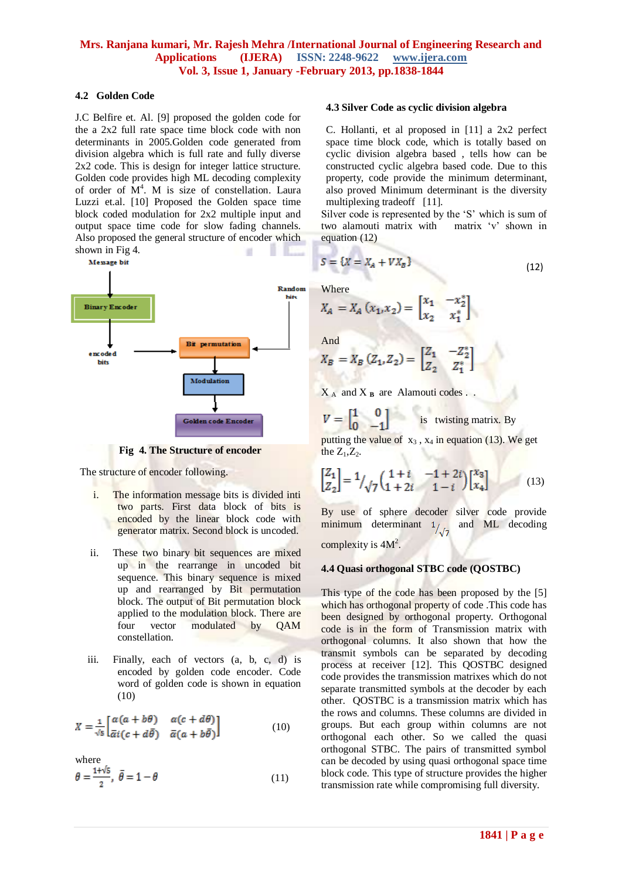#### **4.2 Golden Code**

J.C Belfire et. Al. [9] proposed the golden code for the a 2x2 full rate space time block code with non determinants in 2005.Golden code generated from division algebra which is full rate and fully diverse 2x2 code. This is design for integer lattice structure. Golden code provides high ML decoding complexity of order of  $M<sup>4</sup>$ . M is size of constellation. Laura Luzzi et.al. [10] Proposed the Golden space time block coded modulation for 2x2 multiple input and output space time code for slow fading channels. Also proposed the general structure of encoder which shown in Fig 4.



**Fig 4. The Structure of encoder**

The structure of encoder following.

- i. The information message bits is divided inti two parts. First data block of bits is encoded by the linear block code with generator matrix. Second block is uncoded.
- ii. These two binary bit sequences are mixed up in the rearrange in uncoded bit sequence. This binary sequence is mixed up and rearranged by Bit permutation block. The output of Bit permutation block applied to the modulation block. There are four vector modulated by QAM constellation.
- iii. Finally, each of vectors (a, b, c, d) is encoded by golden code encoder. Code word of golden code is shown in equation (10)

$$
X = \frac{1}{\sqrt{5}} \begin{bmatrix} \alpha(a+b\theta) & \alpha(c+d\theta) \\ \bar{\alpha}i(c+d\bar{\theta}) & \bar{\alpha}(a+b\bar{\theta}) \end{bmatrix}
$$
 (10)

where<br> $\theta = \frac{1+\sqrt{5}}{2}, \ \bar{\theta} = 1 - \theta$ (11)

#### **4.3 Silver Code as cyclic division algebra**

C. Hollanti, et al proposed in [11] a 2x2 perfect space time block code, which is totally based on cyclic division algebra based , tells how can be constructed cyclic algebra based code. Due to this property, code provide the minimum determinant, also proved Minimum determinant is the diversity multiplexing tradeoff [11].

Silver code is represented by the 'S' which is sum of two alamouti matrix with matrix "v" shown in equation (12)

$$
S = \{X = X_A + V X_B\}
$$
\n<sup>(12)</sup>

Where

÷

$$
X_A = X_A(x_1, x_2) = \begin{bmatrix} x_1 & -x_2^* \\ x_2 & x_1^* \end{bmatrix}
$$

And

$$
X_B = X_B (Z_1, Z_2) = \begin{bmatrix} Z_1 & -Z_2^* \\ Z_2 & Z_1^* \end{bmatrix}
$$

 $X_A$  and  $X_B$  are Alamouti codes .

$$
V = \begin{bmatrix} 1 & 0 \\ 0 & -1 \end{bmatrix}
$$
 is twisting matrix. By

putting the value of  $x_3$ ,  $x_4$  in equation (13). We get the  $Z_1, Z_2$ .

$$
\begin{bmatrix} Z_1 \\ Z_2 \end{bmatrix} = \frac{1}{\sqrt{7}} \begin{pmatrix} 1+i & -1+2i \\ 1+2i & 1-i \end{pmatrix} \begin{bmatrix} x_3 \\ x_4 \end{bmatrix}
$$
 (13)

By use of sphere decoder silver code provide minimum determinant  $1/7$  and ML decoding complexity is  $4M^2$ .

#### **4.4 Quasi orthogonal STBC code (QOSTBC)**

This type of the code has been proposed by the [5] which has orthogonal property of code .This code has been designed by orthogonal property. Orthogonal code is in the form of Transmission matrix with orthogonal columns. It also shown that how the transmit symbols can be separated by decoding process at receiver [12]. This QOSTBC designed code provides the transmission matrixes which do not separate transmitted symbols at the decoder by each other. QOSTBC is a transmission matrix which has the rows and columns. These columns are divided in groups. But each group within columns are not orthogonal each other. So we called the quasi orthogonal STBC. The pairs of transmitted symbol can be decoded by using quasi orthogonal space time block code. This type of structure provides the higher transmission rate while compromising full diversity.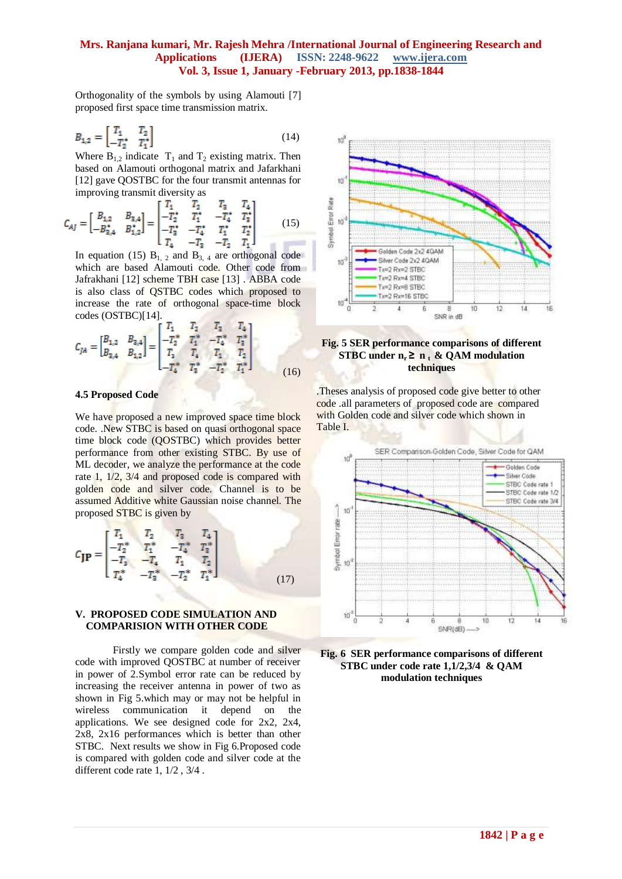Orthogonality of the symbols by using Alamouti [7] proposed first space time transmission matrix.

$$
B_{1,2} = \begin{bmatrix} T_1 & T_2 \\ -T_2^* & T_1^* \end{bmatrix} \tag{14}
$$

Where  $B_{1,2}$  indicate  $T_1$  and  $T_2$  existing matrix. Then based on Alamouti orthogonal matrix and Jafarkhani [12] gave QOSTBC for the four transmit antennas for improving transmit diversity as

$$
C_{AJ} = \begin{bmatrix} B_{1,2} & B_{2,4} \\ -B_{3,4}^* & B_{1,2}^* \end{bmatrix} = \begin{bmatrix} T_1 & T_2 & T_3 & T_4 \\ -T_2^* & T_1^* & -T_4^* & T_3^* \\ -T_3^* & -T_4^* & T_1^* & T_2^* \\ T_4 & -T_3 & -T_2 & T_1 \end{bmatrix}
$$
(15)

In equation (15)  $B_{1, 2}$  and  $B_{3, 4}$  are orthogonal code which are based Alamouti code. Other code from Jafrakhani [12] scheme TBH case [13] . ABBA code is also class of QSTBC codes which proposed to increase the rate of orthogonal space-time block codes (OSTBC)[14].

$$
C_{JA} = \begin{bmatrix} B_{1,2} & B_{2,4} \\ B_{3,4} & B_{1,2} \end{bmatrix} = \begin{bmatrix} T_1 & T_2 & T_3 & T_4 \\ -T_2^* & T_1^* & -T_4^* & T_3^* \\ T_3 & T_4 & T_1 & T_2 \\ -T_4^* & T_3^* & -T_2^* & T_1^* \end{bmatrix}
$$
(16)

#### **4.5 Proposed Code**

We have proposed a new improved space time block code. .New STBC is based on quasi orthogonal space time block code (QOSTBC) which provides better performance from other existing STBC. By use of ML decoder, we analyze the performance at the code rate 1, 1/2, 3/4 and proposed code is compared with golden code and silver code. Channel is to be assumed Additive white Gaussian noise channel. The proposed STBC is given by

$$
C_{\mathbf{JP}} = \begin{bmatrix} T_1 & T_2 & T_3 & T_4 \\ -T_2^* & T_1^* & -T_4^* & T_3^* \\ -T_3 & -T_4 & T_1 & T_2 \\ T_4^* & -T_3^* & -T_2^* & T_1^* \end{bmatrix} \tag{17}
$$

#### **V. PROPOSED CODE SIMULATION AND COMPARISION WITH OTHER CODE**

Firstly we compare golden code and silver code with improved QOSTBC at number of receiver in power of 2.Symbol error rate can be reduced by increasing the receiver antenna in power of two as shown in Fig 5.which may or may not be helpful in wireless communication it depend on the applications. We see designed code for 2x2, 2x4, 2x8, 2x16 performances which is better than other STBC. Next results we show in Fig 6.Proposed code is compared with golden code and silver code at the different code rate 1, 1/2 , 3/4 .





.Theses analysis of proposed code give better to other code .all parameters of proposed code are compared with Golden code and silver code which shown in Table I.



**Fig. 6 SER performance comparisons of different STBC under code rate 1,1/2,3/4 & QAM modulation techniques**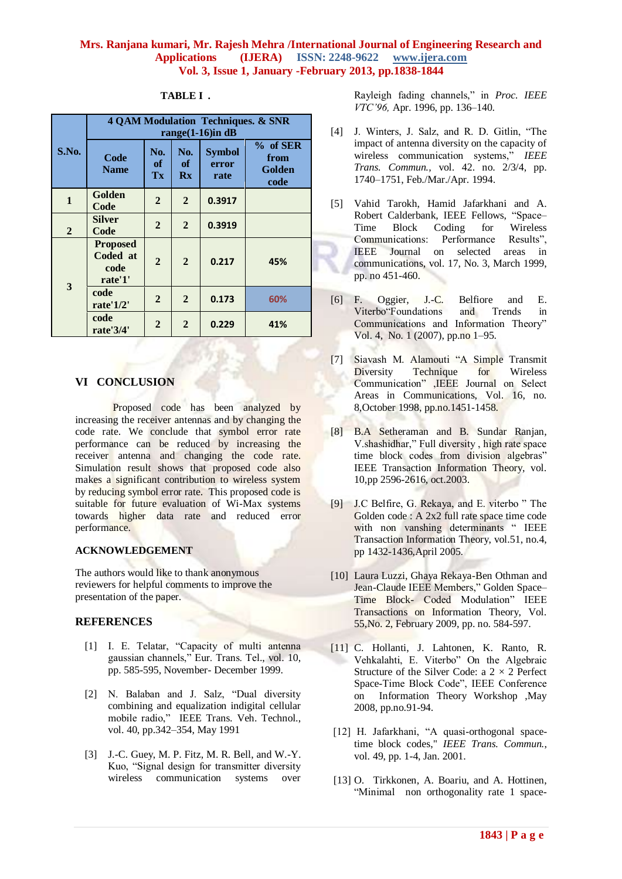| S.No.          | <b>4 QAM Modulation Techniques. &amp; SNR</b><br>range $(1-16)$ in dB |                 |                 |                                |                                      |
|----------------|-----------------------------------------------------------------------|-----------------|-----------------|--------------------------------|--------------------------------------|
|                | Code<br><b>Name</b>                                                   | No.<br>of<br>Tx | No.<br>of<br>Rx | <b>Symbol</b><br>error<br>rate | $%$ of SER<br>from<br>Golden<br>code |
| $\mathbf{1}$   | Golden<br>Code                                                        | $\overline{2}$  | $\overline{2}$  | 0.3917                         |                                      |
| $\overline{2}$ | Silver<br>Code                                                        | $\overline{2}$  | $\overline{2}$  | 0.3919                         |                                      |
| 3              | <b>Proposed</b><br>Coded at<br>code<br>rate'1'                        | $\overline{2}$  | $\overline{2}$  | 0.217                          | 45%                                  |
|                | code<br>rate'1/2'                                                     | $\mathbf{2}$    | $\mathbf{2}$    | 0.173                          | 60%                                  |
|                | code<br>rate'3/4'                                                     | $\overline{2}$  | $\overline{2}$  | 0.229                          | 41%                                  |

## **TABLE I .**

# **VI CONCLUSION**

Proposed code has been analyzed by increasing the receiver antennas and by changing the code rate. We conclude that symbol error rate performance can be reduced by increasing the receiver antenna and changing the code rate. Simulation result shows that proposed code also makes a significant contribution to wireless system by reducing symbol error rate. This proposed code is suitable for future evaluation of Wi-Max systems towards higher data rate and reduced error performance.

#### **ACKNOWLEDGEMENT**

The authors would like to thank anonymous reviewers for helpful comments to improve the presentation of the paper.

# **REFERENCES**

- [1] I. E. Telatar, "Capacity of multi antenna gaussian channels," Eur. Trans. Tel., vol. 10, pp. 585-595, November- December 1999.
- [2] N. Balaban and J. Salz, "Dual diversity combining and equalization indigital cellular mobile radio," IEEE Trans. Veh. Technol., vol. 40, pp.342–354, May 1991
- [3] J.-C. Guey, M. P. Fitz, M. R. Bell, and W.-Y. Kuo, "Signal design for transmitter diversity wireless communication systems over

Rayleigh fading channels," in *Proc. IEEE VTC'96,* Apr. 1996, pp. 136–140.

- [4] J. Winters, J. Salz, and R. D. Gitlin, "The impact of antenna diversity on the capacity of wireless communication systems," *IEEE Trans. Commun.,* vol. 42. no. 2/3/4, pp. 1740–1751, Feb./Mar./Apr. 1994.
- [5] Vahid Tarokh, Hamid Jafarkhani and A. Robert Calderbank, IEEE Fellows, "Space– Time Block Coding for Wireless Communications: Performance Results", IEEE Journal on selected areas in communications, vol. 17, No. 3, March 1999, pp. no 451-460.
- [6] F. Oggier, J.-C. Belfiore and E. Viterbo"Foundations and Trends in Communications and Information Theory" Vol. 4, No. 1 (2007), pp.no 1–95.
- [7] Siavash M. Alamouti "A Simple Transmit Diversity Technique for Wireless Communication" ,IEEE Journal on Select Areas in Communications, Vol. 16, no. 8,October 1998, pp.no.1451-1458.
- [8] B.A Setheraman and B. Sundar Ranjan, V.shashidhar," Full diversity , high rate space time block codes from division algebras" IEEE Transaction Information Theory, vol. 10,pp 2596-2616, oct.2003.
- [9] J.C Belfire, G. Rekaya, and E. viterbo " The Golden code : A 2x2 full rate space time code with non vanshing determinants " IEEE Transaction Information Theory, vol.51, no.4, pp 1432-1436,April 2005.
- [10] Laura Luzzi, Ghaya Rekaya-Ben Othman and Jean-Claude IEEE Members," Golden Space– Time Block- Coded Modulation" IEEE Transactions on Information Theory, Vol. 55,No. 2, February 2009, pp. no. 584-597.
- [11] C. Hollanti, J. Lahtonen, K. Ranto, R. Vehkalahti, E. Viterbo" On the Algebraic Structure of the Silver Code: a  $2 \times 2$  Perfect Space-Time Block Code", IEEE Conference on Information Theory Workshop ,May 2008, pp.no.91-94.
- [12] H. Jafarkhani, "A quasi-orthogonal spacetime block codes," *IEEE Trans. Commun.*, vol. 49, pp. 1-4, Jan. 2001.
- [13] O. Tirkkonen, A. Boariu, and A. Hottinen, "Minimal non orthogonality rate 1 space-